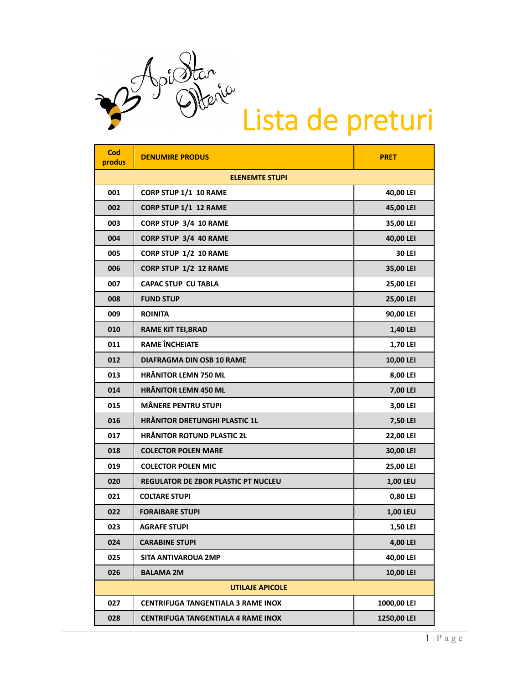

| Cod<br>produs          | <b>DENUMIRE PRODUS</b>                     | <b>PRET</b>     |  |  |
|------------------------|--------------------------------------------|-----------------|--|--|
| <b>ELENEMTE STUPI</b>  |                                            |                 |  |  |
| 001                    | CORP STUP 1/1 10 RAME                      | 40,00 LEI       |  |  |
| 002                    | CORP STUP 1/1 12 RAME                      | 45,00 LEI       |  |  |
| 003                    | CORP STUP 3/4 10 RAME                      | 35,00 LEI       |  |  |
| 004                    | CORP STUP 3/4 40 RAME                      | 40,00 LEI       |  |  |
| 005                    | CORP STUP 1/2 10 RAME                      | <b>30 LEI</b>   |  |  |
| 006                    | CORP STUP 1/2 12 RAME                      | 35,00 LEI       |  |  |
| 007                    | <b>CAPAC STUP CU TABLA</b>                 | 25,00 LEI       |  |  |
| 008                    | <b>FUND STUP</b>                           | 25,00 LEI       |  |  |
| 009                    | <b>ROINITA</b>                             | 90,00 LEI       |  |  |
| 010                    | <b>RAME KIT TEI, BRAD</b>                  | 1,40 LEI        |  |  |
| 011                    | <b>RAME ÎNCHEIATE</b>                      | <b>1,70 LEI</b> |  |  |
| 012                    | <b>DIAFRAGMA DIN OSB 10 RAME</b>           | 10,00 LEI       |  |  |
| 013                    | <b>HRÄNITOR LEMN 750 ML</b>                | 8,00 LEI        |  |  |
| 014                    | <b>HRÄNITOR LEMN 450 ML</b>                | 7,00 LEI        |  |  |
| 015                    | <b>MÂNERE PENTRU STUPI</b>                 | 3,00 LEI        |  |  |
| 016                    | <b>HRÄNITOR DRETUNGHI PLASTIC 1L</b>       | 7,50 LEI        |  |  |
| 017                    | <b>HRÄNITOR ROTUND PLASTIC 2L</b>          | 22,00 LEI       |  |  |
| 018                    | <b>COLECTOR POLEN MARE</b>                 | 30,00 LEI       |  |  |
| 019                    | <b>COLECTOR POLEN MIC</b>                  | 25,00 LEI       |  |  |
| 020                    | <b>REGULATOR DE ZBOR PLASTIC PT NUCLEU</b> | 1,00 LEU        |  |  |
| 021                    | <b>COLTARE STUPI</b>                       | 0,80 LEI        |  |  |
| 022                    | <b>FORAIBARE STUPI</b>                     | 1,00 LEU        |  |  |
| 023                    | <b>AGRAFE STUPI</b>                        | 1,50 LEI        |  |  |
| 024                    | <b>CARABINE STUPI</b>                      | 4,00 LEI        |  |  |
| 025                    | <b>SITA ANTIVAROUA 2MP</b>                 | 40,00 LEI       |  |  |
| 026                    | <b>BALAMA 2M</b>                           | 10,00 LEI       |  |  |
| <b>UTILAJE APICOLE</b> |                                            |                 |  |  |
| 027                    | <b>CENTRIFUGA TANGENTIALA 3 RAME INOX</b>  | 1000,00 LEI     |  |  |
| 028                    | <b>CENTRIFUGA TANGENTIALA 4 RAME INOX</b>  | 1250,00 LEI     |  |  |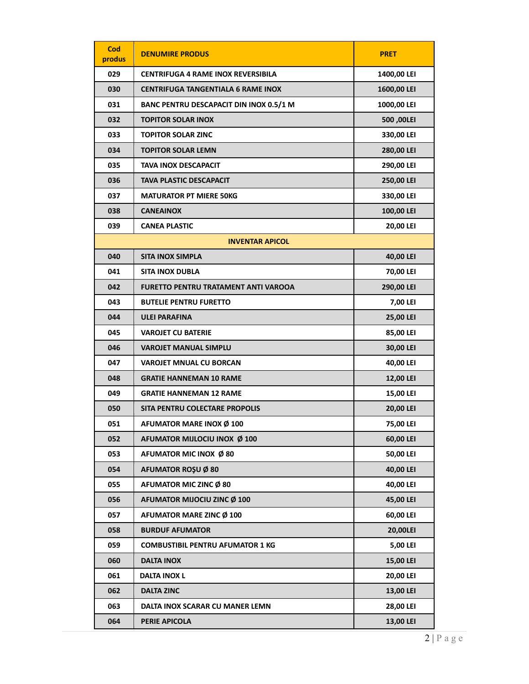| Cod<br>produs          | <b>DENUMIRE PRODUS</b>                         | <b>PRET</b> |  |  |
|------------------------|------------------------------------------------|-------------|--|--|
| 029                    | <b>CENTRIFUGA 4 RAME INOX REVERSIBILA</b>      | 1400,00 LEI |  |  |
| 030                    | <b>CENTRIFUGA TANGENTIALA 6 RAME INOX</b>      | 1600,00 LEI |  |  |
| 031                    | <b>BANC PENTRU DESCAPACIT DIN INOX 0.5/1 M</b> | 1000,00 LEI |  |  |
| 032                    | <b>TOPITOR SOLAR INOX</b>                      | 500,00LEI   |  |  |
| 033                    | <b>TOPITOR SOLAR ZINC</b>                      | 330,00 LEI  |  |  |
| 034                    | <b>TOPITOR SOLAR LEMN</b>                      | 280,00 LEI  |  |  |
| 035                    | <b>TAVA INOX DESCAPACIT</b>                    | 290,00 LEI  |  |  |
| 036                    | TAVA PLASTIC DESCAPACIT                        | 250,00 LEI  |  |  |
| 037                    | <b>MATURATOR PT MIERE 50KG</b>                 | 330,00 LEI  |  |  |
| 038                    | <b>CANEAINOX</b>                               | 100,00 LEI  |  |  |
| 039                    | <b>CANEA PLASTIC</b>                           | 20,00 LEI   |  |  |
| <b>INVENTAR APICOL</b> |                                                |             |  |  |
| 040                    | <b>SITA INOX SIMPLA</b>                        | 40,00 LEI   |  |  |
| 041                    | <b>SITA INOX DUBLA</b>                         | 70,00 LEI   |  |  |
| 042                    | FURETTO PENTRU TRATAMENT ANTI VAROOA           | 290,00 LEI  |  |  |
| 043                    | <b>BUTELIE PENTRU FURETTO</b>                  | 7,00 LEI    |  |  |
| 044                    | <b>ULEI PARAFINA</b>                           | 25,00 LEI   |  |  |
| 045                    | <b>VAROJET CU BATERIE</b>                      | 85,00 LEI   |  |  |
| 046                    | <b>VAROJET MANUAL SIMPLU</b>                   | 30,00 LEI   |  |  |
| 047                    | <b>VAROJET MNUAL CU BORCAN</b>                 | 40,00 LEI   |  |  |
| 048                    | <b>GRATIE HANNEMAN 10 RAME</b>                 | 12,00 LEI   |  |  |
| 049                    | <b>GRATIE HANNEMAN 12 RAME</b>                 | 15,00 LEI   |  |  |
| 050                    | SITA PENTRU COLECTARE PROPOLIS                 | 20,00 LEI   |  |  |
| 051                    | <b>AFUMATOR MARE INOX Ø 100</b>                | 75,00 LEI   |  |  |
| 052                    | AFUMATOR MIJLOCIU INOX Ø 100                   | 60,00 LEI   |  |  |
| 053                    | AFUMATOR MIC INOX Ø 80                         | 50,00 LEI   |  |  |
| 054                    | AFUMATOR ROŞU Ø 80                             | 40,00 LEI   |  |  |
| 055                    | AFUMATOR MIC ZINC Ø 80                         | 40,00 LEI   |  |  |
| 056                    | AFUMATOR MIJOCIU ZINC Ø 100                    | 45,00 LEI   |  |  |
| 057                    | AFUMATOR MARE ZINC Ø 100                       | 60,00 LEI   |  |  |
| 058                    | <b>BURDUF AFUMATOR</b>                         | 20,00LEI    |  |  |
| 059                    | <b>COMBUSTIBIL PENTRU AFUMATOR 1 KG</b>        | 5,00 LEI    |  |  |
| 060                    | <b>DALTA INOX</b>                              | 15,00 LEI   |  |  |
| 061                    | <b>DALTA INOX L</b>                            | 20,00 LEI   |  |  |
| 062                    | <b>DALTA ZINC</b>                              | 13,00 LEI   |  |  |
| 063                    | DALTA INOX SCARAR CU MANER LEMN                | 28,00 LEI   |  |  |
| 064                    | PERIE APICOLA                                  | 13,00 LEI   |  |  |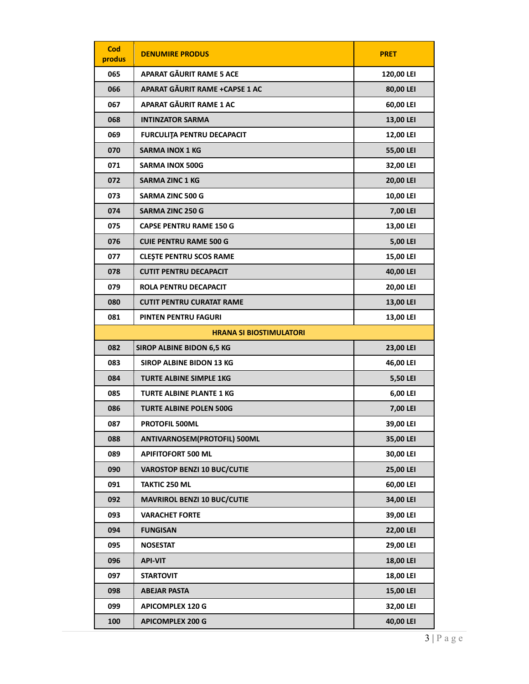| Cod<br>produs | <b>DENUMIRE PRODUS</b>             | <b>PRET</b> |
|---------------|------------------------------------|-------------|
| 065           | APARAT GĂURIT RAME 5 ACE           | 120,00 LEI  |
| 066           | APARAT GĂURIT RAME +CAPSE 1 AC     | 80,00 LEI   |
| 067           | APARAT GĂURIT RAME 1 AC            | 60,00 LEI   |
| 068           | <b>INTINZATOR SARMA</b>            | 13,00 LEI   |
| 069           | <b>FURCULITA PENTRU DECAPACIT</b>  | 12,00 LEI   |
| 070           | <b>SARMA INOX 1 KG</b>             | 55,00 LEI   |
| 071           | <b>SARMA INOX 500G</b>             | 32,00 LEI   |
| 072           | <b>SARMA ZINC 1 KG</b>             | 20,00 LEI   |
| 073           | <b>SARMA ZINC 500 G</b>            | 10,00 LEI   |
| 074           | <b>SARMA ZINC 250 G</b>            | 7,00 LEI    |
| 075           | <b>CAPSE PENTRU RAME 150 G</b>     | 13,00 LEI   |
| 076           | <b>CUIE PENTRU RAME 500 G</b>      | 5,00 LEI    |
| 077           | <b>CLEȘTE PENTRU SCOS RAME</b>     | 15,00 LEI   |
| 078           | <b>CUTIT PENTRU DECAPACIT</b>      | 40,00 LEI   |
| 079           | ROLA PENTRU DECAPACIT              | 20,00 LEI   |
| 080           | <b>CUTIT PENTRU CURATAT RAME</b>   | 13,00 LEI   |
| 081           | PINTEN PENTRU FAGURI               | 13,00 LEI   |
|               | <b>HRANA SI BIOSTIMULATORI</b>     |             |
| 082           | <b>SIROP ALBINE BIDON 6,5 KG</b>   | 23,00 LEI   |
| 083           | <b>SIROP ALBINE BIDON 13 KG</b>    | 46,00 LEI   |
| 084           | <b>TURTE ALBINE SIMPLE 1KG</b>     | 5,50 LEI    |
| 085           | <b>TURTE ALBINE PLANTE 1 KG</b>    | 6,00 LEI    |
| 086           | <b>TURTE ALBINE POLEN 500G</b>     | 7,00 LEI    |
| 087           | <b>PROTOFIL 500ML</b>              | 39,00 LEI   |
| 088           | ANTIVARNOSEM(PROTOFIL) 500ML       | 35,00 LEI   |
| 089           | <b>APIFITOFORT 500 ML</b>          | 30,00 LEI   |
| 090           | <b>VAROSTOP BENZI 10 BUC/CUTIE</b> | 25,00 LEI   |
| 091           | <b>TAKTIC 250 ML</b>               | 60,00 LEI   |
| 092           | <b>MAVRIROL BENZI 10 BUC/CUTIE</b> | 34,00 LEI   |
| 093           | <b>VARACHET FORTE</b>              | 39,00 LEI   |
| 094           | <b>FUNGISAN</b>                    | 22,00 LEI   |
| 095           | <b>NOSESTAT</b>                    | 29,00 LEI   |
| 096           | <b>API-VIT</b>                     | 18,00 LEI   |
| 097           | <b>STARTOVIT</b>                   | 18,00 LEI   |
| 098           | <b>ABEJAR PASTA</b>                | 15,00 LEI   |
| 099           | <b>APICOMPLEX 120 G</b>            | 32,00 LEI   |
| 100           | <b>APICOMPLEX 200 G</b>            | 40,00 LEI   |